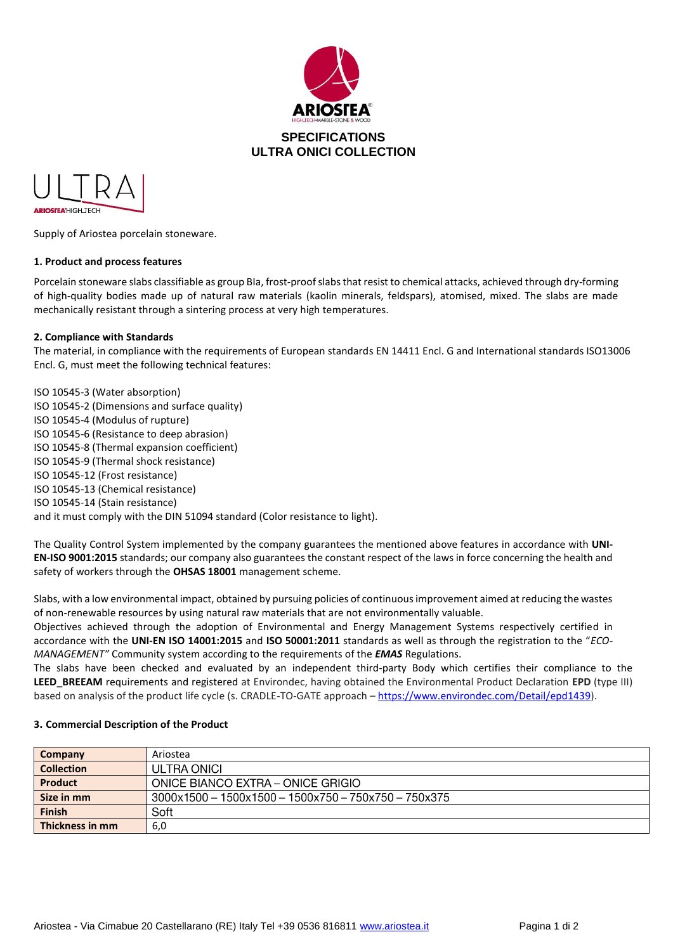



Supply of Ariostea porcelain stoneware.

### **1. Product and process features**

Porcelain stoneware slabs classifiable as group BIa, frost-proof slabs that resist to chemical attacks, achieved through dry-forming of high-quality bodies made up of natural raw materials (kaolin minerals, feldspars), atomised, mixed. The slabs are made mechanically resistant through a sintering process at very high temperatures.

### **2. Compliance with Standards**

The material, in compliance with the requirements of European standards EN 14411 Encl. G and International standards ISO13006 Encl. G, must meet the following technical features:

ISO 10545-3 (Water absorption) ISO 10545-2 (Dimensions and surface quality) ISO 10545-4 (Modulus of rupture) ISO 10545-6 (Resistance to deep abrasion) ISO 10545-8 (Thermal expansion coefficient) ISO 10545-9 (Thermal shock resistance) ISO 10545-12 (Frost resistance) ISO 10545-13 (Chemical resistance) ISO 10545-14 (Stain resistance) and it must comply with the DIN 51094 standard (Color resistance to light).

The Quality Control System implemented by the company guarantees the mentioned above features in accordance with **UNI-EN-ISO 9001:2015** standards; our company also guarantees the constant respect of the laws in force concerning the health and safety of workers through the **OHSAS 18001** management scheme.

Slabs, with a low environmental impact, obtained by pursuing policies of continuous improvement aimed at reducing the wastes of non-renewable resources by using natural raw materials that are not environmentally valuable.

Objectives achieved through the adoption of Environmental and Energy Management Systems respectively certified in accordance with the **UNI-EN ISO 14001:2015** and **ISO 50001:2011** standards as well as through the registration to the "*ECO-MANAGEMENT"* Community system according to the requirements of the *EMAS* Regulations.

The slabs have been checked and evaluated by an independent third-party Body which certifies their compliance to the **LEED\_BREEAM** requirements and registered at Environdec, having obtained the Environmental Product Declaration **EPD** (type III) based on analysis of the product life cycle (s. CRADLE-TO-GATE approach – [https://www.environdec.com/Detail/epd1439\)](https://urlsand.esvalabs.com/?u=https%3A%2F%2Fwww.environdec.com%2FDetail%2Fepd1439&e=fdbf7c53&h=e5b4a17b&f=y&p=y).

### **3. Commercial Description of the Product**

| Company           | Ariostea                                               |
|-------------------|--------------------------------------------------------|
| <b>Collection</b> | ULTRA ONICI                                            |
| <b>Product</b>    | ONICE BIANCO EXTRA - ONICE GRIGIO                      |
| Size in mm        | $3000x1500 - 1500x1500 - 1500x750 - 750x750 - 750x375$ |
| <b>Finish</b>     | Soft                                                   |
| Thickness in mm   | 6,0                                                    |